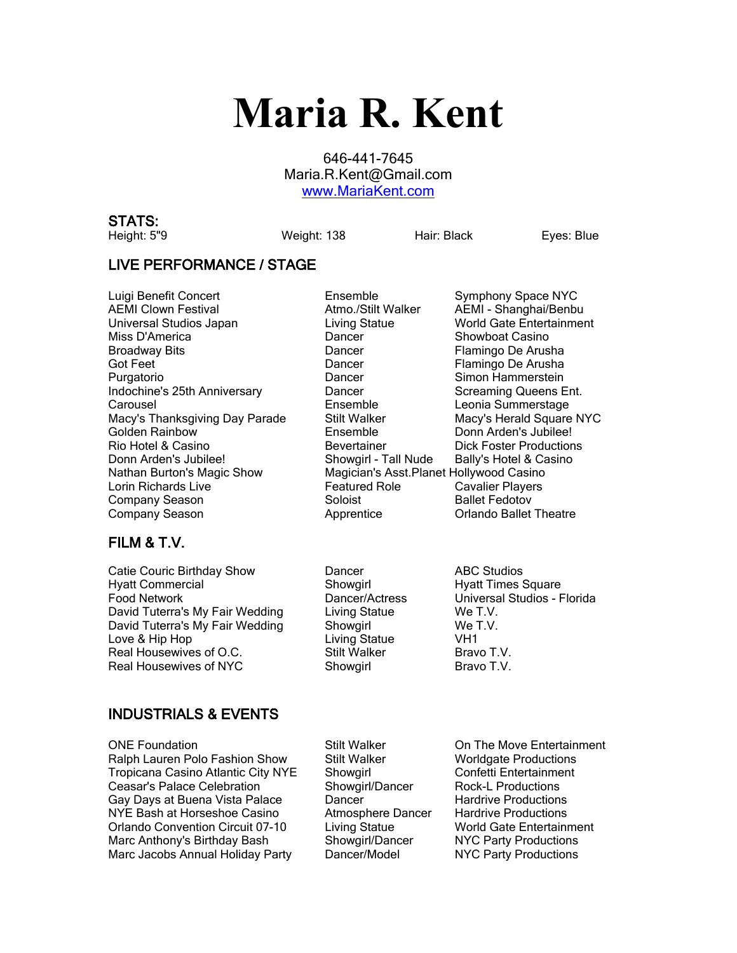# **Maria R. Kent**

646-441-7645 Maria.R.Kent@Gmail.com [www.MariaKent.com](http://www.mariakent.com/)

## **STATS:**

Height: 5"9 Weight: 138 Hair: Black Eyes: Blue

#### **LIVE PERFORMANCE / STAGE**

Luigi Benefit Concert Ensemble Symphony Space NYC AEMI Clown Festival Atmo./Stilt Walker AEMI - Shanghai/Benbu Universal Studios Japan Living Statue World Gate Entertainment Miss D'America **Night Casino** Dancer **Night Casino** Showboat Casino Broadway Bits **Example 2** Concer Flamingo De Arusha Got Feet **Contains Container Flamingo De Arusha** Dancer **Flamingo De Arusha** Purgatorio **Dancer** Dancer Simon Hammerstein Indochine's 25th Anniversary **Dancer** Dancer Screaming Queens Ent. Carousel **Ensemble** Ensemble Leonia Summerstage<br>Macy's Thanksgiving Day Parade Stilt Walker **Charles Macy's Herald Square** Macy's Thanksgiving Day Parade Stilt Walker Macy's Herald Square NYC<br>Golden Rainbow Show Ensemble Donn Arden's Jubilee! Rio Hotel & Casino **Bevertainer** Bevertainer **Dick Foster Productions** Donn Arden's Jubilee! Showgirl - Tall Nude Bally's Hotel & Casino Nathan Burton's Magic Show Magician's Asst.Planet Hollywood Casino Lorin Richards Live **Featured Role** Cavalier Players **Company Season Soloist Access Soloist** Ballet Fedotov Company Season **Apprentice** Company Season **Apprentice** Criando Ballet Theatre

## **FILM & T.V.**

Catie Couric Birthday Show Dancer ABC Studios Hyatt Commercial **Showgirl Hyatt Times Square** Structure Square Food Network Dancer/Actress Universal Studios - Florida David Tuterra's My Fair Wedding Living Statue We T.V.<br>
David Tuterra's My Fair Wedding Showgirl We T.V. David Tuterra's My Fair Wedding Showgirl Love & Hip Hop **Living Statue** VH1 Real Housewives of O.C. Stilt Walker Bravo T.V. Real Housewives of NYC Showgirl Bravo T.V.

## **INDUSTRIALS & EVENTS**

ONE Foundation The Stilt Walker Con The Move Entertainment Ralph Lauren Polo Fashion Show Stilt Walker Worldgate Productions Tropicana Casino Atlantic City NYE Showgirl Confetti Entertainment Ceasar's Palace Celebration **Showgirl/Dancer** Rock-L Productions Gay Days at Buena Vista Palace **Dancer Dancer** Hardrive Productions NYE Bash at Horseshoe Casino Atmosphere Dancer Hardrive Productions Orlando Convention Circuit 07-10 Living Statue World Gate Entertainment Marc Anthony's Birthday Bash Showgirl/Dancer NYC Party Productions Marc Jacobs Annual Holiday Party Dancer/Model NYC Party Productions

Ensemble **Donn Arden's Jubilee!**